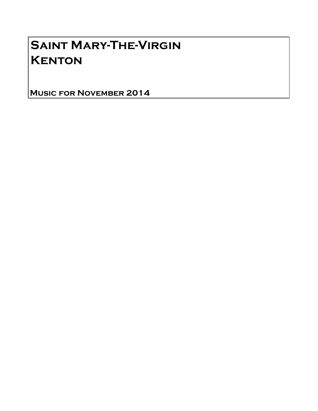## Saint Mary-The-Virgin **KENTON**

Music for November 2014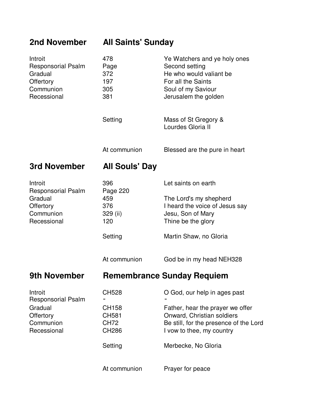## **2nd November All Saints' Sunday**

| Introit<br><b>Responsorial Psalm</b><br>Gradual<br>Offertory<br>Communion<br>Recessional | 478<br>Page<br>372<br>197<br>305<br>381                                                         | Ye Watchers and ye holy ones<br>Second setting<br>He who would valiant be<br>For all the Saints<br>Soul of my Saviour<br>Jerusalem the golden                                                                    |
|------------------------------------------------------------------------------------------|-------------------------------------------------------------------------------------------------|------------------------------------------------------------------------------------------------------------------------------------------------------------------------------------------------------------------|
|                                                                                          | Setting                                                                                         | Mass of St Gregory &<br>Lourdes Gloria II                                                                                                                                                                        |
|                                                                                          | At communion                                                                                    | Blessed are the pure in heart                                                                                                                                                                                    |
| 3rd November                                                                             | <b>All Souls' Day</b>                                                                           |                                                                                                                                                                                                                  |
| Introit<br><b>Responsorial Psalm</b><br>Gradual<br>Offertory<br>Communion<br>Recessional | 396<br>Page 220<br>459<br>376<br>329 (ii)<br>120<br>Setting                                     | Let saints on earth<br>The Lord's my shepherd<br>I heard the voice of Jesus say<br>Jesu, Son of Mary<br>Thine be the glory<br>Martin Shaw, no Gloria                                                             |
|                                                                                          | At communion                                                                                    | God be in my head NEH328                                                                                                                                                                                         |
| <b>9th November</b>                                                                      |                                                                                                 | <b>Remembrance Sunday Requiem</b>                                                                                                                                                                                |
| Introit<br><b>Responsorial Psalm</b><br>Gradual<br>Offertory<br>Communion<br>Recessional | <b>CH528</b><br>CH158<br><b>CH581</b><br><b>CH72</b><br><b>CH286</b><br>Setting<br>At communion | O God, our help in ages past<br>Father, hear the prayer we offer<br>Onward, Christian soldiers<br>Be still, for the presence of the Lord<br>I vow to thee, my country<br>Merbecke, No Gloria<br>Prayer for peace |
|                                                                                          |                                                                                                 |                                                                                                                                                                                                                  |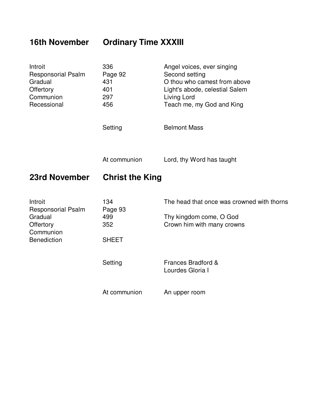## **16th November Ordinary Time XXXIII**

| Introit<br><b>Responsorial Psalm</b><br>Gradual<br>Offertory<br>Communion<br>Recessional        | 336<br>Page 92<br>431<br>401<br>297<br>456   | Angel voices, ever singing<br>Second setting<br>O thou who camest from above<br>Light's abode, celestial Salem<br>Living Lord<br>Teach me, my God and King |
|-------------------------------------------------------------------------------------------------|----------------------------------------------|------------------------------------------------------------------------------------------------------------------------------------------------------------|
|                                                                                                 | Setting                                      | <b>Belmont Mass</b>                                                                                                                                        |
|                                                                                                 | At communion                                 | Lord, thy Word has taught                                                                                                                                  |
| 23rd November                                                                                   | <b>Christ the King</b>                       |                                                                                                                                                            |
| Introit<br><b>Responsorial Psalm</b><br>Gradual<br>Offertory<br>Communion<br><b>Benediction</b> | 134<br>Page 93<br>499<br>352<br><b>SHEET</b> | The head that once was crowned with thorns<br>Thy kingdom come, O God<br>Crown him with many crowns                                                        |
|                                                                                                 | Setting                                      | Frances Bradford &<br>Lourdes Gloria I                                                                                                                     |
|                                                                                                 | At communion                                 | An upper room                                                                                                                                              |